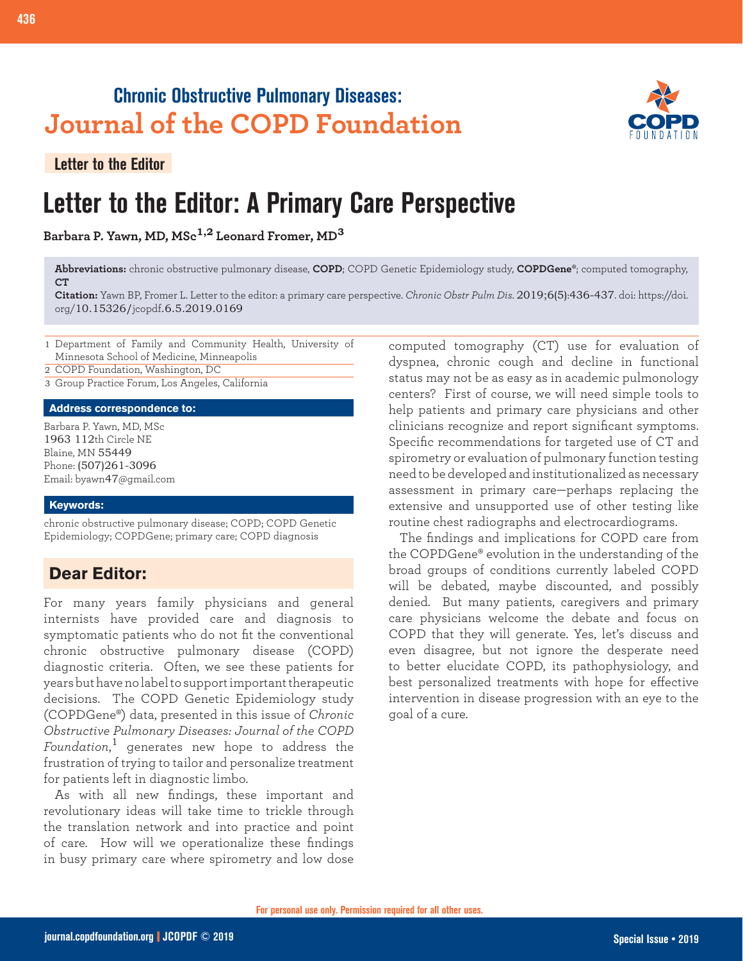## **Chronic Obstructive Pulmonary Diseases: Journal of the COPD Foundation**

**Letter to the Editor**

# **Letter to the Editor: A Primary Care Perspective**

**Barbara P. Yawn, MD, MSc1,2 Leonard Fromer, MD<sup>3</sup>**

**Abbreviations:** chronic obstructive pulmonary disease, **COPD**; COPD Genetic Epidemiology study, **COPDGene®**; computed tomography, **CT**

**Citation:** Yawn BP, Fromer L. Letter to the editor: a primary care perspective. *Chronic Obstr Pulm Dis*. 2019;6(5):436-437. doi: https://doi. org/10.15326/jcopdf.6.5.2019.0169

- 1 Department of Family and Community Health, University of Minnesota School of Medicine, Minneapolis
- 2 COPD Foundation, Washington, DC
- 3 Group Practice Forum, Los Angeles, California

#### **Address correspondence to:**

Barbara P. Yawn, MD, MSc 1963 112th Circle NE Blaine, MN 55449 Phone: (507)261-3096 Email: byawn47@gmail.com

#### **Keywords:**

chronic obstructive pulmonary disease; COPD; COPD Genetic Epidemiology; COPDGene; primary care; COPD diagnosis

### **Dear Editor:**

For many years family physicians and general internists have provided care and diagnosis to symptomatic patients who do not fit the conventional chronic obstructive pulmonary disease (COPD) diagnostic criteria. Often, we see these patients for years but have no label to support important therapeutic decisions. The COPD Genetic Epidemiology study (COPDGene®) data, presented in this issue of *Chronic Obstructive Pulmonary Diseases: Journal of the COPD Foundation*, <sup>1</sup> generates new hope to address the frustration of trying to tailor and personalize treatment for patients left in diagnostic limbo.

As with all new findings, these important and revolutionary ideas will take time to trickle through the translation network and into practice and point of care. How will we operationalize these findings in busy primary care where spirometry and low dose

computed tomography (CT) use for evaluation of dyspnea, chronic cough and decline in functional status may not be as easy as in academic pulmonology centers? First of course, we will need simple tools to help patients and primary care physicians and other clinicians recognize and report significant symptoms. Specific recommendations for targeted use of CT and spirometry or evaluation of pulmonary function testing need to be developed and institutionalized as necessary assessment in primary care—perhaps replacing the extensive and unsupported use of other testing like routine chest radiographs and electrocardiograms.

The findings and implications for COPD care from the COPDGene® evolution in the understanding of the broad groups of conditions currently labeled COPD will be debated, maybe discounted, and possibly denied. But many patients, caregivers and primary care physicians welcome the debate and focus on COPD that they will generate. Yes, let's discuss and even disagree, but not ignore the desperate need to better elucidate COPD, its pathophysiology, and best personalized treatments with hope for effective intervention in disease progression with an eye to the goal of a cure.